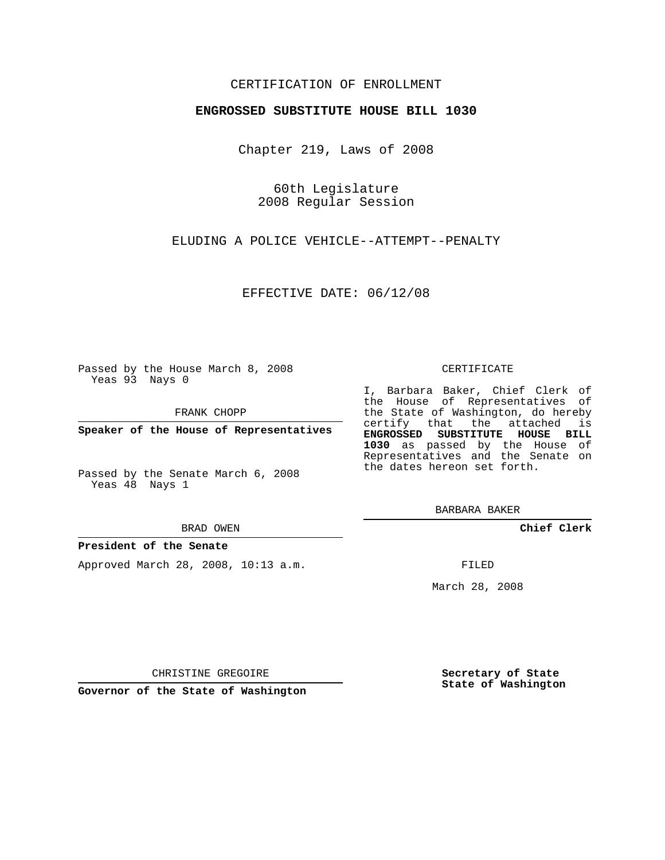# CERTIFICATION OF ENROLLMENT

## **ENGROSSED SUBSTITUTE HOUSE BILL 1030**

Chapter 219, Laws of 2008

60th Legislature 2008 Regular Session

ELUDING A POLICE VEHICLE--ATTEMPT--PENALTY

EFFECTIVE DATE: 06/12/08

Passed by the House March 8, 2008 Yeas 93 Nays 0

FRANK CHOPP

**Speaker of the House of Representatives**

Passed by the Senate March 6, 2008 Yeas 48 Nays 1

#### BRAD OWEN

## **President of the Senate**

Approved March 28, 2008, 10:13 a.m.

#### CERTIFICATE

I, Barbara Baker, Chief Clerk of the House of Representatives of the State of Washington, do hereby certify that the attached is **ENGROSSED SUBSTITUTE HOUSE BILL 1030** as passed by the House of Representatives and the Senate on the dates hereon set forth.

BARBARA BAKER

**Chief Clerk**

FILED

March 28, 2008

CHRISTINE GREGOIRE

**Governor of the State of Washington**

**Secretary of State State of Washington**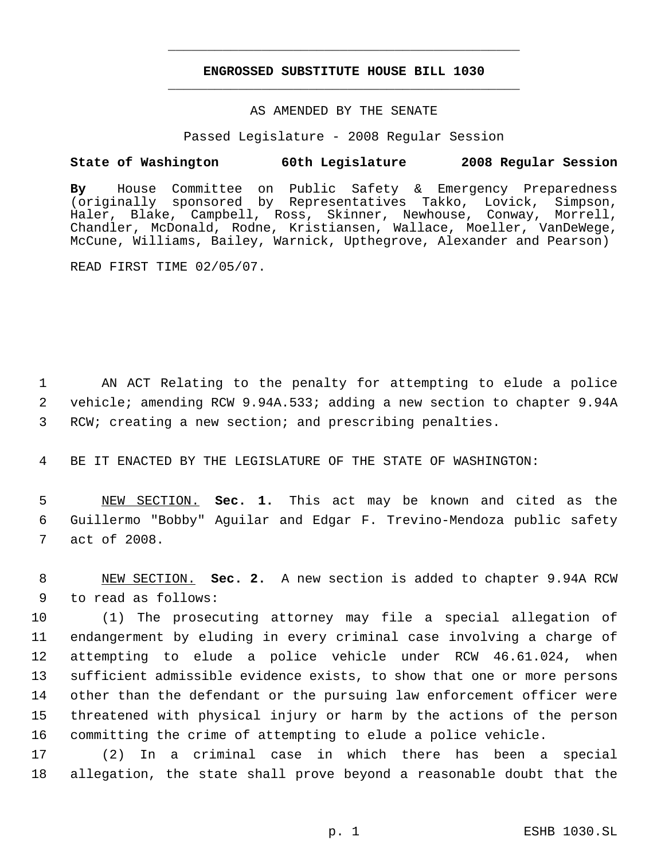# **ENGROSSED SUBSTITUTE HOUSE BILL 1030** \_\_\_\_\_\_\_\_\_\_\_\_\_\_\_\_\_\_\_\_\_\_\_\_\_\_\_\_\_\_\_\_\_\_\_\_\_\_\_\_\_\_\_\_\_

\_\_\_\_\_\_\_\_\_\_\_\_\_\_\_\_\_\_\_\_\_\_\_\_\_\_\_\_\_\_\_\_\_\_\_\_\_\_\_\_\_\_\_\_\_

## AS AMENDED BY THE SENATE

Passed Legislature - 2008 Regular Session

## **State of Washington 60th Legislature 2008 Regular Session**

**By** House Committee on Public Safety & Emergency Preparedness (originally sponsored by Representatives Takko, Lovick, Simpson, Haler, Blake, Campbell, Ross, Skinner, Newhouse, Conway, Morrell, Chandler, McDonald, Rodne, Kristiansen, Wallace, Moeller, VanDeWege, McCune, Williams, Bailey, Warnick, Upthegrove, Alexander and Pearson)

READ FIRST TIME 02/05/07.

 1 AN ACT Relating to the penalty for attempting to elude a police 2 vehicle; amending RCW 9.94A.533; adding a new section to chapter 9.94A 3 RCW; creating a new section; and prescribing penalties.

4 BE IT ENACTED BY THE LEGISLATURE OF THE STATE OF WASHINGTON:

 5 NEW SECTION. **Sec. 1.** This act may be known and cited as the 6 Guillermo "Bobby" Aguilar and Edgar F. Trevino-Mendoza public safety 7 act of 2008.

 8 NEW SECTION. **Sec. 2.** A new section is added to chapter 9.94A RCW 9 to read as follows:

 (1) The prosecuting attorney may file a special allegation of endangerment by eluding in every criminal case involving a charge of attempting to elude a police vehicle under RCW 46.61.024, when sufficient admissible evidence exists, to show that one or more persons other than the defendant or the pursuing law enforcement officer were threatened with physical injury or harm by the actions of the person committing the crime of attempting to elude a police vehicle.

17 (2) In a criminal case in which there has been a special 18 allegation, the state shall prove beyond a reasonable doubt that the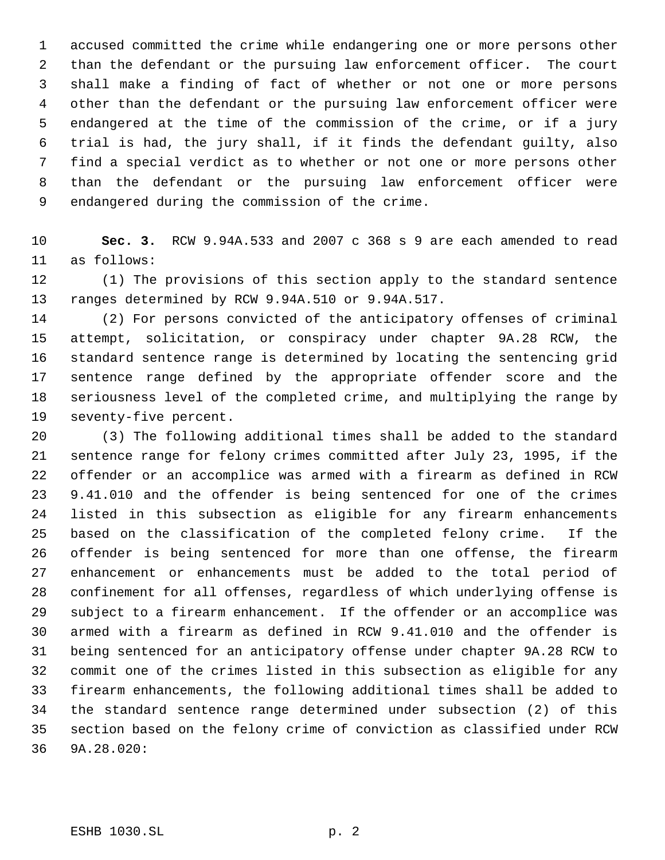accused committed the crime while endangering one or more persons other than the defendant or the pursuing law enforcement officer. The court shall make a finding of fact of whether or not one or more persons other than the defendant or the pursuing law enforcement officer were endangered at the time of the commission of the crime, or if a jury trial is had, the jury shall, if it finds the defendant guilty, also find a special verdict as to whether or not one or more persons other than the defendant or the pursuing law enforcement officer were endangered during the commission of the crime.

 **Sec. 3.** RCW 9.94A.533 and 2007 c 368 s 9 are each amended to read as follows:

 (1) The provisions of this section apply to the standard sentence ranges determined by RCW 9.94A.510 or 9.94A.517.

 (2) For persons convicted of the anticipatory offenses of criminal attempt, solicitation, or conspiracy under chapter 9A.28 RCW, the standard sentence range is determined by locating the sentencing grid sentence range defined by the appropriate offender score and the seriousness level of the completed crime, and multiplying the range by seventy-five percent.

 (3) The following additional times shall be added to the standard sentence range for felony crimes committed after July 23, 1995, if the offender or an accomplice was armed with a firearm as defined in RCW 9.41.010 and the offender is being sentenced for one of the crimes listed in this subsection as eligible for any firearm enhancements based on the classification of the completed felony crime. If the offender is being sentenced for more than one offense, the firearm enhancement or enhancements must be added to the total period of confinement for all offenses, regardless of which underlying offense is subject to a firearm enhancement. If the offender or an accomplice was armed with a firearm as defined in RCW 9.41.010 and the offender is being sentenced for an anticipatory offense under chapter 9A.28 RCW to commit one of the crimes listed in this subsection as eligible for any firearm enhancements, the following additional times shall be added to the standard sentence range determined under subsection (2) of this section based on the felony crime of conviction as classified under RCW 9A.28.020: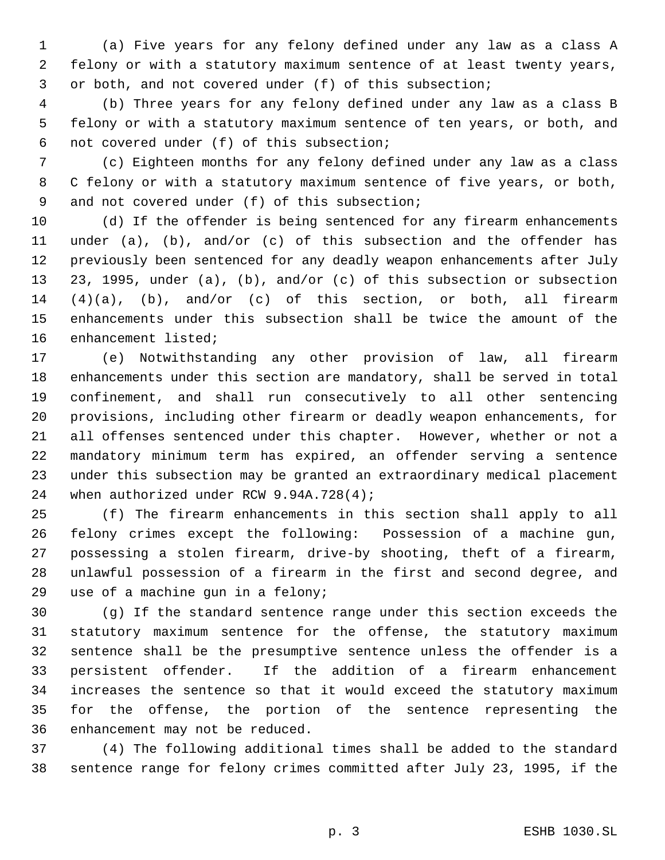(a) Five years for any felony defined under any law as a class A felony or with a statutory maximum sentence of at least twenty years, or both, and not covered under (f) of this subsection;

 (b) Three years for any felony defined under any law as a class B felony or with a statutory maximum sentence of ten years, or both, and not covered under (f) of this subsection;

 (c) Eighteen months for any felony defined under any law as a class C felony or with a statutory maximum sentence of five years, or both, 9 and not covered under (f) of this subsection;

 (d) If the offender is being sentenced for any firearm enhancements under (a), (b), and/or (c) of this subsection and the offender has previously been sentenced for any deadly weapon enhancements after July 23, 1995, under (a), (b), and/or (c) of this subsection or subsection (4)(a), (b), and/or (c) of this section, or both, all firearm enhancements under this subsection shall be twice the amount of the enhancement listed;

 (e) Notwithstanding any other provision of law, all firearm enhancements under this section are mandatory, shall be served in total confinement, and shall run consecutively to all other sentencing provisions, including other firearm or deadly weapon enhancements, for all offenses sentenced under this chapter. However, whether or not a mandatory minimum term has expired, an offender serving a sentence under this subsection may be granted an extraordinary medical placement 24 when authorized under RCW 9.94A.728(4);

 (f) The firearm enhancements in this section shall apply to all felony crimes except the following: Possession of a machine gun, possessing a stolen firearm, drive-by shooting, theft of a firearm, unlawful possession of a firearm in the first and second degree, and use of a machine gun in a felony;

 (g) If the standard sentence range under this section exceeds the statutory maximum sentence for the offense, the statutory maximum sentence shall be the presumptive sentence unless the offender is a persistent offender. If the addition of a firearm enhancement increases the sentence so that it would exceed the statutory maximum for the offense, the portion of the sentence representing the enhancement may not be reduced.

 (4) The following additional times shall be added to the standard sentence range for felony crimes committed after July 23, 1995, if the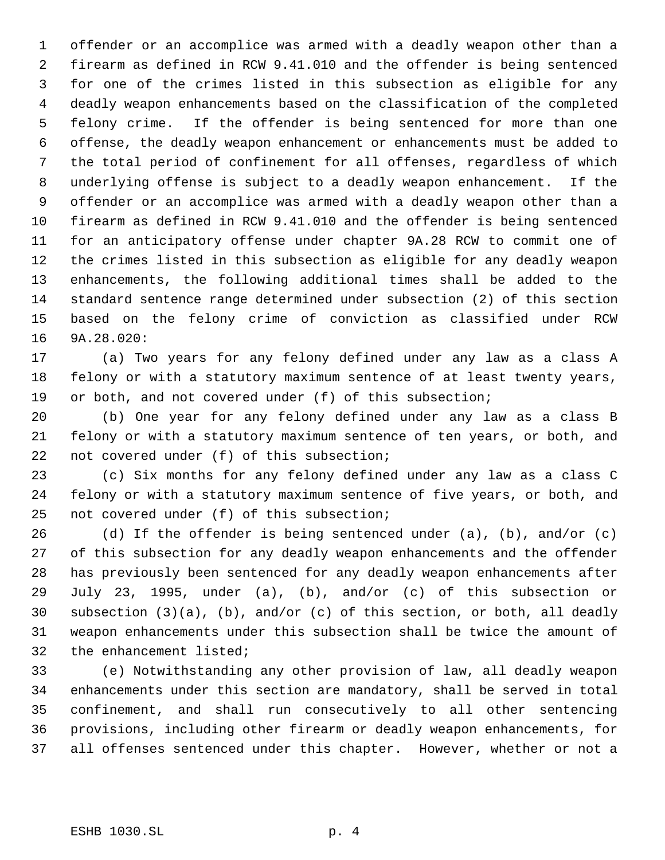offender or an accomplice was armed with a deadly weapon other than a firearm as defined in RCW 9.41.010 and the offender is being sentenced for one of the crimes listed in this subsection as eligible for any deadly weapon enhancements based on the classification of the completed felony crime. If the offender is being sentenced for more than one offense, the deadly weapon enhancement or enhancements must be added to the total period of confinement for all offenses, regardless of which underlying offense is subject to a deadly weapon enhancement. If the offender or an accomplice was armed with a deadly weapon other than a firearm as defined in RCW 9.41.010 and the offender is being sentenced for an anticipatory offense under chapter 9A.28 RCW to commit one of the crimes listed in this subsection as eligible for any deadly weapon enhancements, the following additional times shall be added to the standard sentence range determined under subsection (2) of this section based on the felony crime of conviction as classified under RCW 9A.28.020:

 (a) Two years for any felony defined under any law as a class A felony or with a statutory maximum sentence of at least twenty years, or both, and not covered under (f) of this subsection;

 (b) One year for any felony defined under any law as a class B felony or with a statutory maximum sentence of ten years, or both, and 22 not covered under (f) of this subsection;

 (c) Six months for any felony defined under any law as a class C felony or with a statutory maximum sentence of five years, or both, and not covered under (f) of this subsection;

 (d) If the offender is being sentenced under (a), (b), and/or (c) of this subsection for any deadly weapon enhancements and the offender has previously been sentenced for any deadly weapon enhancements after July 23, 1995, under (a), (b), and/or (c) of this subsection or subsection (3)(a), (b), and/or (c) of this section, or both, all deadly weapon enhancements under this subsection shall be twice the amount of the enhancement listed;

 (e) Notwithstanding any other provision of law, all deadly weapon enhancements under this section are mandatory, shall be served in total confinement, and shall run consecutively to all other sentencing provisions, including other firearm or deadly weapon enhancements, for all offenses sentenced under this chapter. However, whether or not a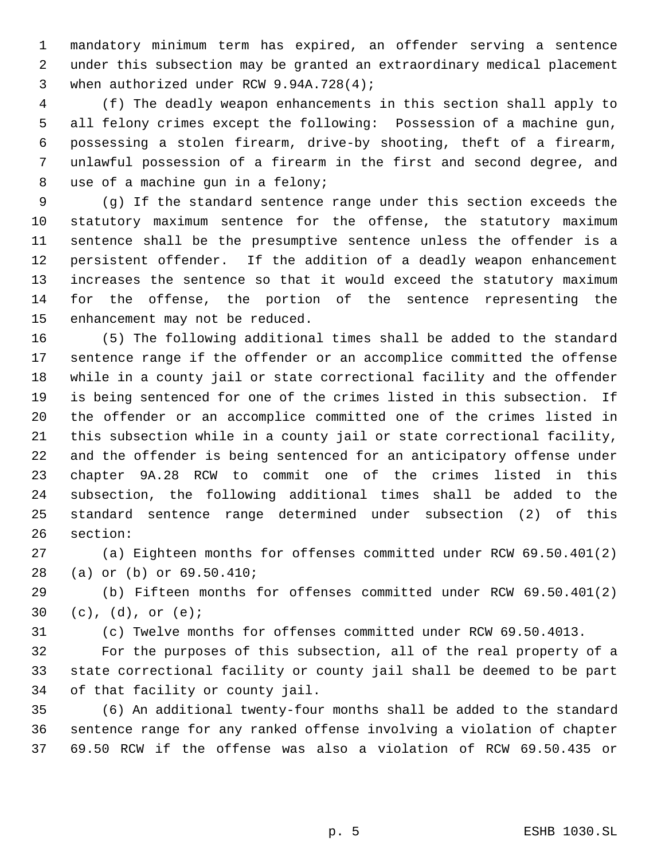mandatory minimum term has expired, an offender serving a sentence under this subsection may be granted an extraordinary medical placement when authorized under RCW 9.94A.728(4);

 (f) The deadly weapon enhancements in this section shall apply to all felony crimes except the following: Possession of a machine gun, possessing a stolen firearm, drive-by shooting, theft of a firearm, unlawful possession of a firearm in the first and second degree, and use of a machine gun in a felony;

 (g) If the standard sentence range under this section exceeds the statutory maximum sentence for the offense, the statutory maximum sentence shall be the presumptive sentence unless the offender is a persistent offender. If the addition of a deadly weapon enhancement increases the sentence so that it would exceed the statutory maximum for the offense, the portion of the sentence representing the enhancement may not be reduced.

 (5) The following additional times shall be added to the standard sentence range if the offender or an accomplice committed the offense while in a county jail or state correctional facility and the offender is being sentenced for one of the crimes listed in this subsection. If the offender or an accomplice committed one of the crimes listed in this subsection while in a county jail or state correctional facility, and the offender is being sentenced for an anticipatory offense under chapter 9A.28 RCW to commit one of the crimes listed in this subsection, the following additional times shall be added to the standard sentence range determined under subsection (2) of this section:

 (a) Eighteen months for offenses committed under RCW 69.50.401(2) (a) or (b) or 69.50.410;

 (b) Fifteen months for offenses committed under RCW 69.50.401(2) (c), (d), or (e);

(c) Twelve months for offenses committed under RCW 69.50.4013.

 For the purposes of this subsection, all of the real property of a state correctional facility or county jail shall be deemed to be part of that facility or county jail.

 (6) An additional twenty-four months shall be added to the standard sentence range for any ranked offense involving a violation of chapter 69.50 RCW if the offense was also a violation of RCW 69.50.435 or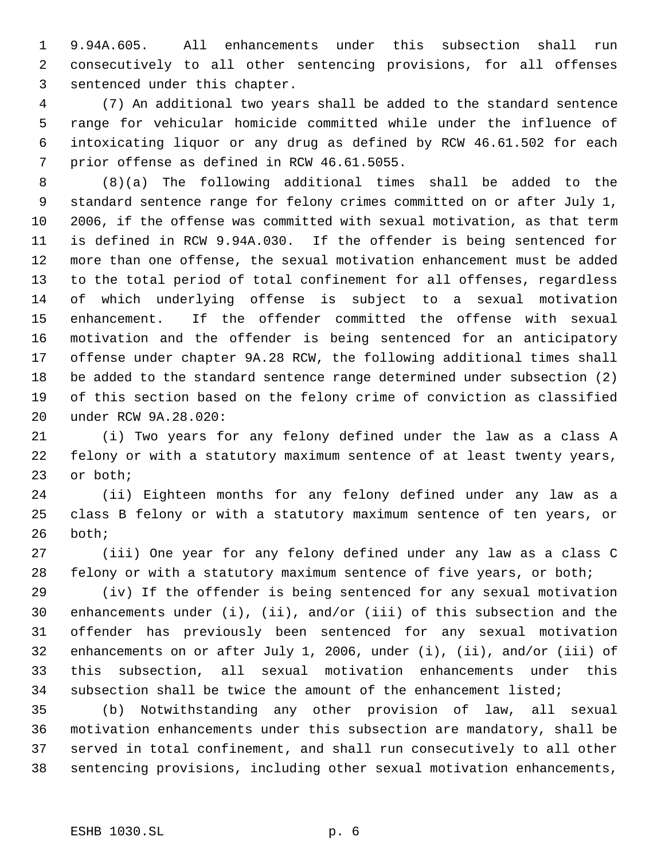9.94A.605. All enhancements under this subsection shall run consecutively to all other sentencing provisions, for all offenses sentenced under this chapter.

 (7) An additional two years shall be added to the standard sentence range for vehicular homicide committed while under the influence of intoxicating liquor or any drug as defined by RCW 46.61.502 for each prior offense as defined in RCW 46.61.5055.

 (8)(a) The following additional times shall be added to the standard sentence range for felony crimes committed on or after July 1, 2006, if the offense was committed with sexual motivation, as that term is defined in RCW 9.94A.030. If the offender is being sentenced for more than one offense, the sexual motivation enhancement must be added to the total period of total confinement for all offenses, regardless of which underlying offense is subject to a sexual motivation enhancement. If the offender committed the offense with sexual motivation and the offender is being sentenced for an anticipatory offense under chapter 9A.28 RCW, the following additional times shall be added to the standard sentence range determined under subsection (2) of this section based on the felony crime of conviction as classified under RCW 9A.28.020:

 (i) Two years for any felony defined under the law as a class A felony or with a statutory maximum sentence of at least twenty years, or both;

 (ii) Eighteen months for any felony defined under any law as a class B felony or with a statutory maximum sentence of ten years, or both;

 (iii) One year for any felony defined under any law as a class C felony or with a statutory maximum sentence of five years, or both;

 (iv) If the offender is being sentenced for any sexual motivation enhancements under (i), (ii), and/or (iii) of this subsection and the offender has previously been sentenced for any sexual motivation enhancements on or after July 1, 2006, under (i), (ii), and/or (iii) of this subsection, all sexual motivation enhancements under this subsection shall be twice the amount of the enhancement listed;

 (b) Notwithstanding any other provision of law, all sexual motivation enhancements under this subsection are mandatory, shall be served in total confinement, and shall run consecutively to all other sentencing provisions, including other sexual motivation enhancements,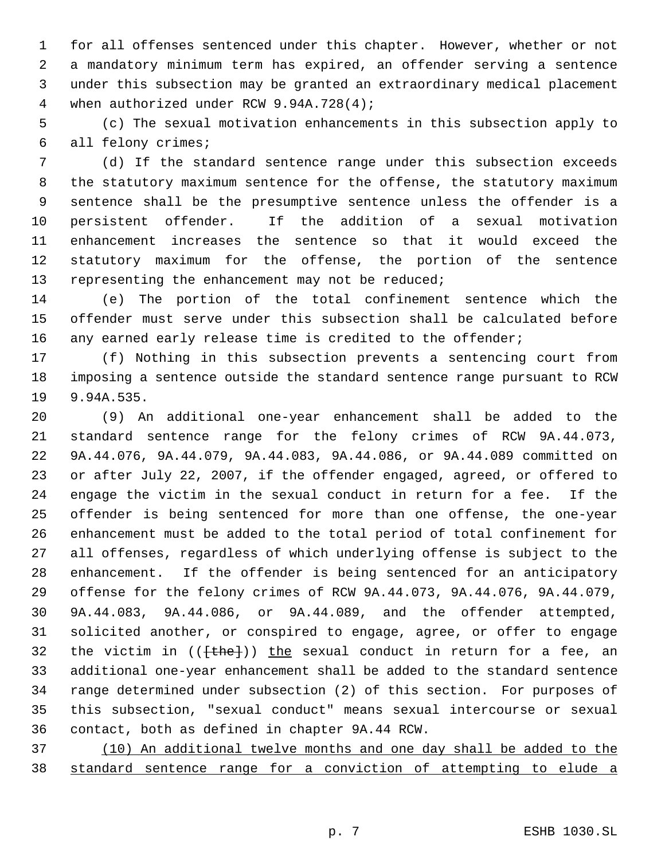for all offenses sentenced under this chapter. However, whether or not a mandatory minimum term has expired, an offender serving a sentence under this subsection may be granted an extraordinary medical placement 4 when authorized under RCW 9.94A.728(4);

 (c) The sexual motivation enhancements in this subsection apply to all felony crimes;

 (d) If the standard sentence range under this subsection exceeds the statutory maximum sentence for the offense, the statutory maximum sentence shall be the presumptive sentence unless the offender is a persistent offender. If the addition of a sexual motivation enhancement increases the sentence so that it would exceed the statutory maximum for the offense, the portion of the sentence 13 representing the enhancement may not be reduced;

 (e) The portion of the total confinement sentence which the offender must serve under this subsection shall be calculated before 16 any earned early release time is credited to the offender;

 (f) Nothing in this subsection prevents a sentencing court from imposing a sentence outside the standard sentence range pursuant to RCW 9.94A.535.

 (9) An additional one-year enhancement shall be added to the standard sentence range for the felony crimes of RCW 9A.44.073, 9A.44.076, 9A.44.079, 9A.44.083, 9A.44.086, or 9A.44.089 committed on or after July 22, 2007, if the offender engaged, agreed, or offered to engage the victim in the sexual conduct in return for a fee. If the offender is being sentenced for more than one offense, the one-year enhancement must be added to the total period of total confinement for all offenses, regardless of which underlying offense is subject to the enhancement. If the offender is being sentenced for an anticipatory offense for the felony crimes of RCW 9A.44.073, 9A.44.076, 9A.44.079, 9A.44.083, 9A.44.086, or 9A.44.089, and the offender attempted, solicited another, or conspired to engage, agree, or offer to engage 32 the victim in  $((+the+)$ ) the sexual conduct in return for a fee, an additional one-year enhancement shall be added to the standard sentence range determined under subsection (2) of this section. For purposes of this subsection, "sexual conduct" means sexual intercourse or sexual contact, both as defined in chapter 9A.44 RCW.

 (10) An additional twelve months and one day shall be added to the standard sentence range for a conviction of attempting to elude a